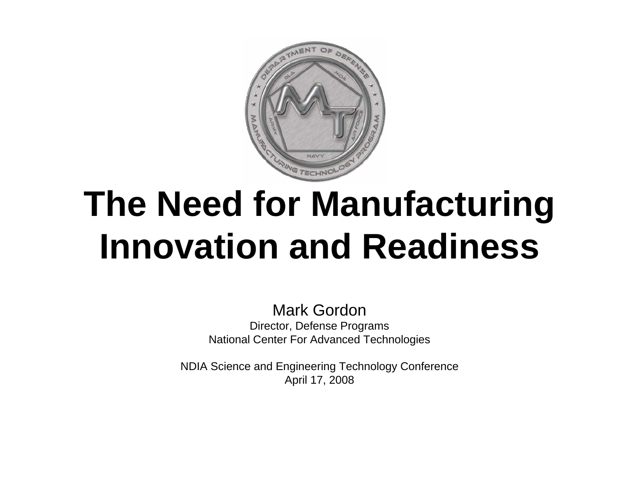

# **The Need for Manufacturing Innovation and Readiness**

Mark GordonDirector, Defense Programs National Center For Advanced Technologies

NDIA Science and Engineering Technology Conference April 17, 2008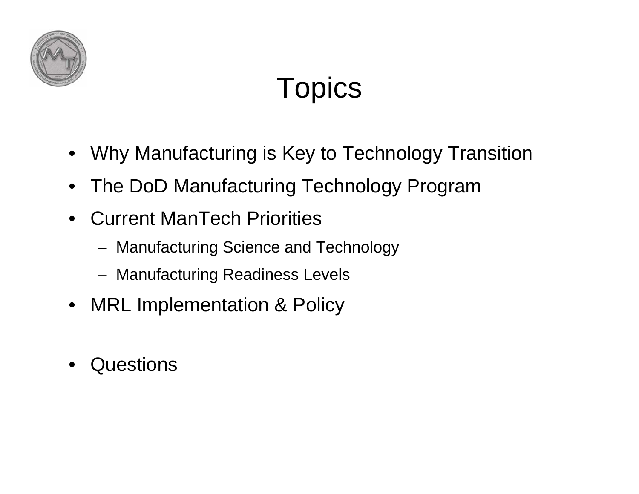

# Topics

- •Why Manufacturing is Key to Technology Transition
- •The DoD Manufacturing Technology Program
- $\bullet$  Current ManTech Priorities
	- Manufacturing Science and Technology
	- Manufacturing Readiness Levels
- •MRL Implementation & Policy
- •Questions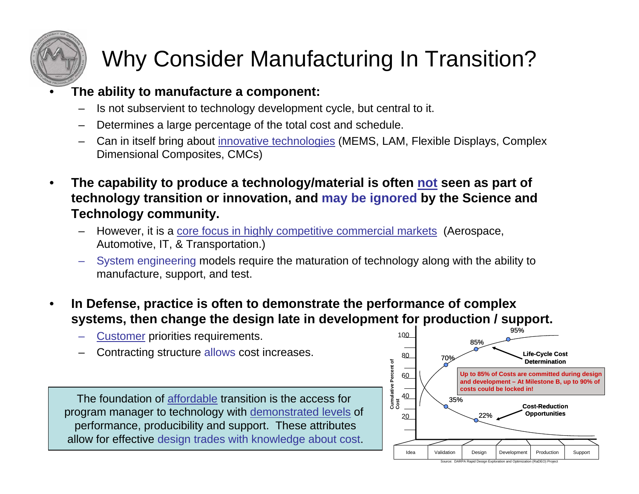

### Why Consider Manufacturing In Transition?

#### **The ability to manufacture a component:**

- –Is not subservient to technology development cycle, but central to it.
- –Determines a large percentage of the total cost and schedule.
- – Can in itself bring about innovative technologies (MEMS, LAM, Flexible Displays, Complex Dimensional Composites, CMCs)
- • **The capability to produce a technology/material is often not seen as part of technology transition or innovation, and may be ignored by the Science and Technology community.**
	- However, it is a core focus in highly competitive commercial markets (Aerospace, Automotive, IT, & Transportation.)
	- System engineering models require the maturation of technology along with the ability to manufacture, support, and test.
- • **In Defense, practice is often to demonstrate the performance of complex systems, then change the design late in development for production / support.**
	- **Customer priorities requirements.**
	- Contracting structure allows cost increases.

The foundation of affordable transition is the access for program manager to technology with demonstrated levels of performance, producibility and support. These attributes allow for effective design trades with knowledge about cost.

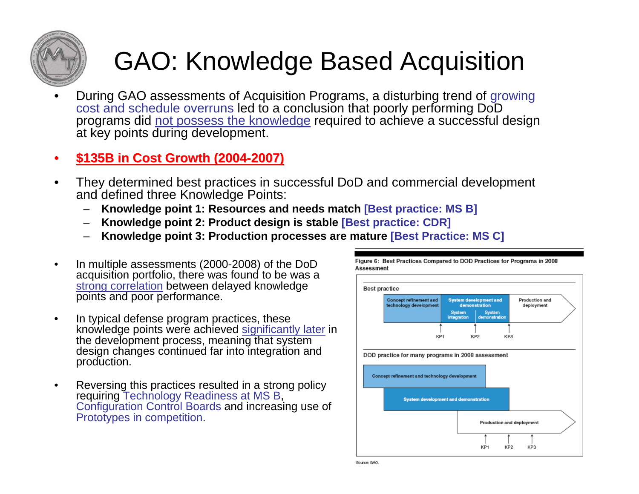

## GAO: Knowledge Based Acquisition

• During GAO assessments of Acquisition Programs, a disturbing trend of growing cost and schedule overruns led to a conclusion that poorly performing DoD programs did not possess the knowledge required to achieve a successful design at key points during development.

#### •**\$135B in Cost Growth (2004 \$135B in Cost Growth (2004-2007)**

- • They determined best practices in successful DoD and commercial development and defined three Knowledge Points:
	- –**Knowledge point 1: Resources and needs match [Best practice: MS B]**
	- **Knowledge point 2: Product design is stable [Best practice: CDR]**
	- **Knowledge point 3: Production processes are mature [Best Practice: MS C]**
- • In multiple assessments (2000-2008) of the DoD acquisition portfolio, there was found to be was a strong correlation between delayed knowledge points and poor performance.
- • In typical defense program practices, these knowledge points were achieved significantly later in the development process, meaning that system design changes continued far into integration and production.
- • Reversing this practices resulted in a strong policy requiring Technology Readiness at MS B, Configuration Control Boards and increasing use of Prototypes in competition.



Figure 6: Best Practices Compared to DOD Practices for Programs in 2008

Source: GAO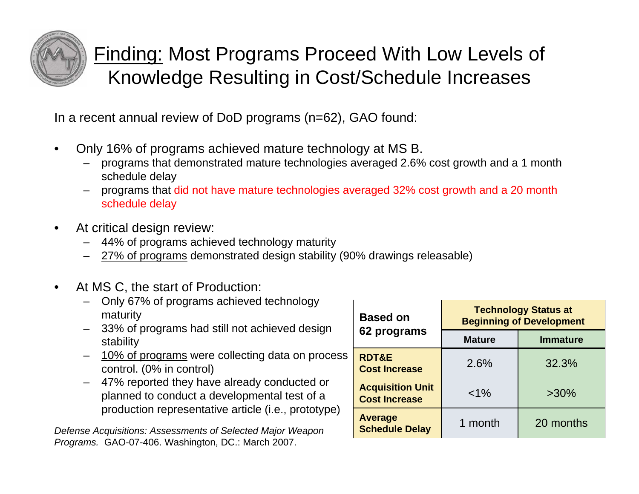

### Finding: Most Programs Proceed With Low Levels of Knowledge Resulting in Cost/Schedule Increases

In a recent annual review of DoD programs (n=62), GAO found:

- • Only 16% of programs achieved mature technology at MS B.
	- – programs that demonstrated mature technologies averaged 2.6% cost growth and a 1 month schedule delay
	- programs that did not have mature technologies averaged 32% cost growth and a 20 month schedule delay
- • At critical design review:
	- 44% of programs achieved technology maturity
	- 27% of programs demonstrated design stability (90% drawings releasable)
- • At MS C, the start of Production:
	- Only 67% of programs achieved technology maturity
	- 33% of programs had still not achieved design stability
	- 10% of programs were collecting data on process control. (0% in control)
	- 47% reported they have already conducted or planned to conduct a developmental test of a production representative article (i.e., prototype)

*Defense Acquisitions: Assessments of Selected Major Weapon Programs.* GAO-07-406. Washington, DC.: March 2007.

| <b>Based on</b>                                 | <b>Technology Status at</b><br><b>Beginning of Development</b> |                 |  |
|-------------------------------------------------|----------------------------------------------------------------|-----------------|--|
| 62 programs                                     | <b>Mature</b>                                                  | <b>Immature</b> |  |
| <b>RDT&amp;E</b><br><b>Cost Increase</b>        | 2.6%                                                           | 32.3%           |  |
| <b>Acquisition Unit</b><br><b>Cost Increase</b> | $< 1\%$                                                        | $>30\%$         |  |
| Average<br><b>Schedule Delay</b>                | 1 month                                                        | 20 months       |  |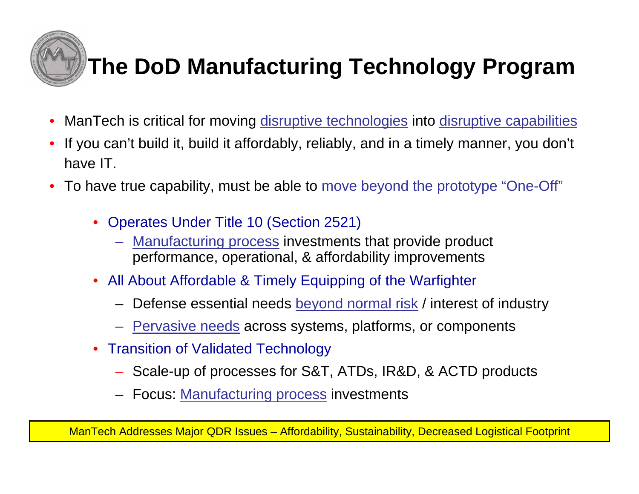

## **The DoD Manufacturing Technology Program**

- •ManTech is critical for moving disruptive technologies into disruptive capabilities
- • If you can't build it, build it affordably, reliably, and in a timely manner, you don't have IT.
- To have true capability, must be able to move beyond the prototype "One-Off"
	- Operates Under Title 10 (Section 2521)
		- Manufacturing process investments that provide product performance, operational, & affordability improvements
	- All About Affordable & Timely Equipping of the Warfighter
		- Defense essential needs <u>beyond normal risk</u> / interest of industry
		- <u>Pervasive needs</u> across systems, platforms, or components
	- Transition of Validated Technology
		- Scale-up of processes for S&T, ATDs, IR&D, & ACTD products
		- Focus: <u>Manufacturing process</u> investments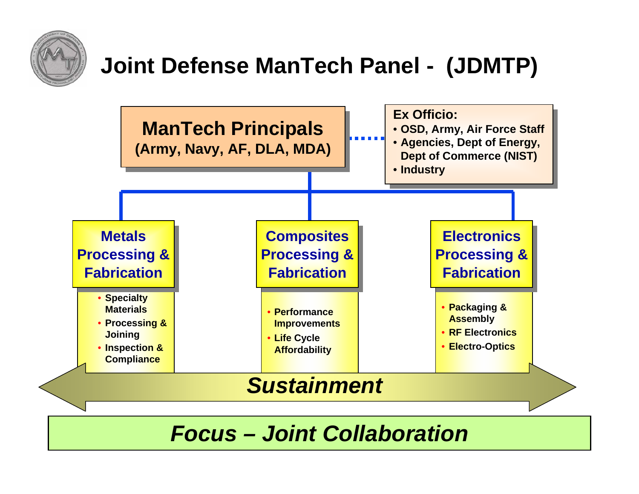

### **Joint Defense ManTech Panel - (JDMTP)**



### *Focus – Joint Collaboration*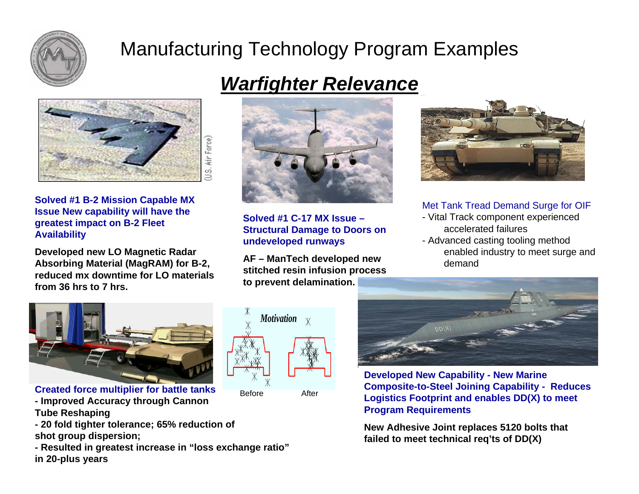

### Manufacturing Technology Program Examples



**Solved #1 B-2 Mission Capable MX Issue New capability will have the greatest impact on B-2 Fleet Availability**

**Developed new LO Magnetic Radar Absorbing Material (MagRAM) for B-2, reduced mx downtime for LO materials from 36 hrs to 7 hrs.**



**Created force multiplier for battle tanks**

- **- Improved Accuracy through Cannon Tube Reshaping**
- **- 20 fold tighter tolerance; 65% reduction of shot group dispersion;**
- **- Resulted in greatest increase in "loss exchange ratio" in 20-plus years**

### *Warfighter Relevance*



**Solved #1 C-17 MX Issue –Structural Damage to Doors on undeveloped runways**

**AF – ManTech developed new stitched resin infusion process to prevent delamination.** 





#### Met Tank Tread Demand Surge for OIF

- Vital Track component experienced accelerated failures
- Advanced casting tooling method enabled industry to meet surge and demand



**Developed New Capability - New Marine Composite-to-Steel Joining Capability - Reduces Logistics Footprint and enables DD(X) to meet Program Requirements** 

**New Adhesive Joint replaces 5120 bolts that failed to meet technical req'ts of DD(X)**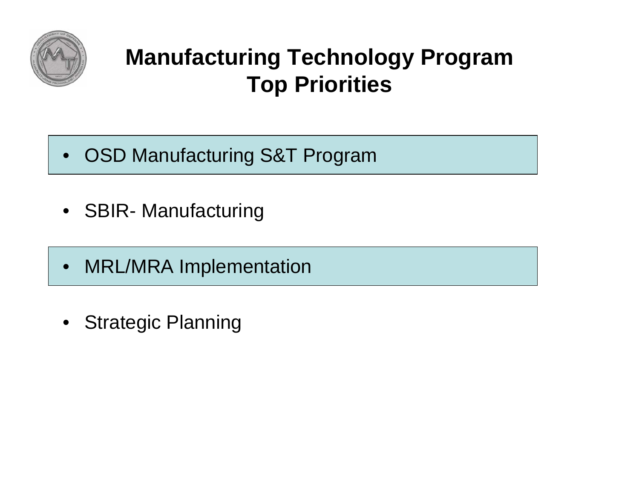

### **Manufacturing Technology Program Top Priorities**

- OSD Manufacturing S&T Program
- SBIR- Manufacturing
- $\bullet$ MRL/MRA Implementation
- $\bullet$ Strategic Planning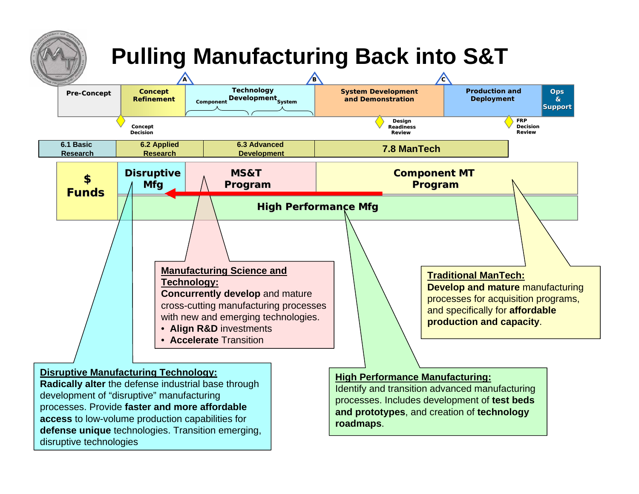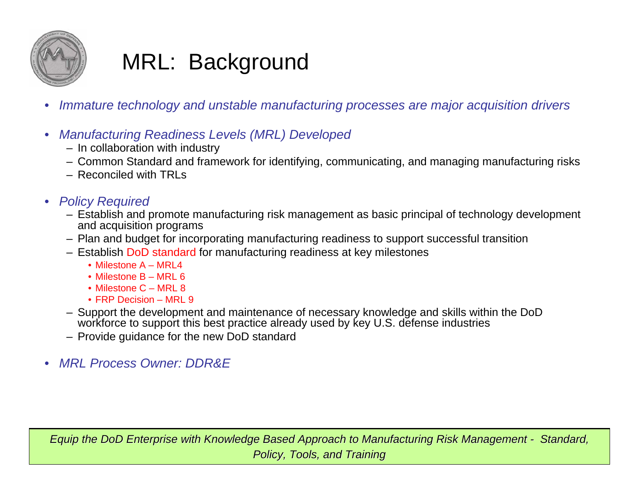

### MRL: Background

- •*Immature technology and unstable manufacturing processes are major acquisition drivers*
- • *Manufacturing Readiness Levels (MRL) Developed*
	- In collaboration with industry
	- Common Standard and framework for identifying, communicating, and managing manufacturing risks
	- Reconciled with TRLs
- *Policy Required*
	- Establish and promote manufacturing risk management as basic principal of technology development and acquisition programs
	- Plan and budget for incorporating manufacturing readiness to support successful transition
	- Establish DoD standard for manufacturing readiness at key milestones
		- Milestone A MRL4
		- Milestone B MRL 6
		- Milestone C MRL 8
		- FRP Decision MRL 9
	- Support the development and maintenance of necessary knowledge and skills within the DoD workforce to support this best practice already used by key U.S. defense industries
	- Provide guidance for the new DoD standard
- •*MRL Process Owner: DDR&E*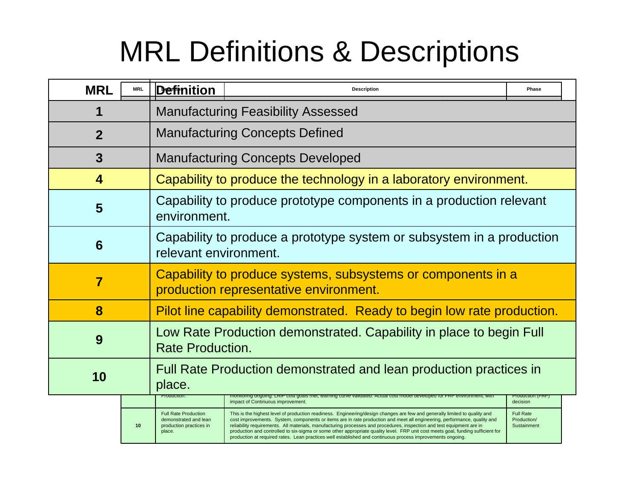## MRL Definitions & Descriptions

| <b>MRL</b>     | <b>MRL</b>                                                                                             | <b>Definition</b>                                                                              | <b>Description</b>                                                                                                                                                                                                                                                                                                                                                                                                                                                                                                                                                                                                                |                                                |  |  |
|----------------|--------------------------------------------------------------------------------------------------------|------------------------------------------------------------------------------------------------|-----------------------------------------------------------------------------------------------------------------------------------------------------------------------------------------------------------------------------------------------------------------------------------------------------------------------------------------------------------------------------------------------------------------------------------------------------------------------------------------------------------------------------------------------------------------------------------------------------------------------------------|------------------------------------------------|--|--|
|                |                                                                                                        | <b>Manufacturing Feasibility Assessed</b>                                                      |                                                                                                                                                                                                                                                                                                                                                                                                                                                                                                                                                                                                                                   |                                                |  |  |
| $\overline{2}$ | <b>Manufacturing Concepts Defined</b>                                                                  |                                                                                                |                                                                                                                                                                                                                                                                                                                                                                                                                                                                                                                                                                                                                                   |                                                |  |  |
| 3              | <b>Manufacturing Concepts Developed</b>                                                                |                                                                                                |                                                                                                                                                                                                                                                                                                                                                                                                                                                                                                                                                                                                                                   |                                                |  |  |
| 4              |                                                                                                        | Capability to produce the technology in a laboratory environment.                              |                                                                                                                                                                                                                                                                                                                                                                                                                                                                                                                                                                                                                                   |                                                |  |  |
| 5              | Capability to produce prototype components in a production relevant<br>environment.                    |                                                                                                |                                                                                                                                                                                                                                                                                                                                                                                                                                                                                                                                                                                                                                   |                                                |  |  |
| 6              |                                                                                                        | Capability to produce a prototype system or subsystem in a production<br>relevant environment. |                                                                                                                                                                                                                                                                                                                                                                                                                                                                                                                                                                                                                                   |                                                |  |  |
| 7              | Capability to produce systems, subsystems or components in a<br>production representative environment. |                                                                                                |                                                                                                                                                                                                                                                                                                                                                                                                                                                                                                                                                                                                                                   |                                                |  |  |
| 8              |                                                                                                        | Pilot line capability demonstrated. Ready to begin low rate production.                        |                                                                                                                                                                                                                                                                                                                                                                                                                                                                                                                                                                                                                                   |                                                |  |  |
| 9              |                                                                                                        | Low Rate Production demonstrated. Capability in place to begin Full<br><b>Rate Production.</b> |                                                                                                                                                                                                                                                                                                                                                                                                                                                                                                                                                                                                                                   |                                                |  |  |
| 10             |                                                                                                        | Full Rate Production demonstrated and lean production practices in<br>place.                   |                                                                                                                                                                                                                                                                                                                                                                                                                                                                                                                                                                                                                                   |                                                |  |  |
|                |                                                                                                        | Production.                                                                                    | monitoring ongoing. LRIP cost goals met, learning curve validated. Actual cost model developed for FRP environment, with<br>impact of Continuous improvement.                                                                                                                                                                                                                                                                                                                                                                                                                                                                     | Production (FRP)<br>decision                   |  |  |
|                | 10                                                                                                     | <b>Full Rate Production</b><br>demonstrated and lean<br>production practices in<br>place.      | This is the highest level of production readiness. Engineering/design changes are few and generally limited to quality and<br>cost improvements. System, components or items are in rate production and meet all engineering, performance, quality and<br>reliability requirements. All materials, manufacturing processes and procedures, inspection and test equipment are in<br>production and controlled to six-sigma or some other appropriate quality level. FRP unit cost meets goal, funding sufficient for<br>production at required rates. Lean practices well established and continuous process improvements ongoing. | <b>Full Rate</b><br>Production/<br>Sustainment |  |  |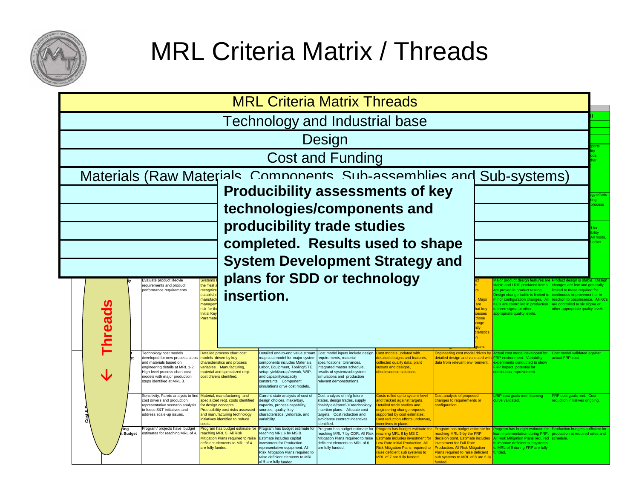

## MRL Criteria Matrix / Threads

| <b>MRL Criteria Matrix Threads</b>                                                                                                                                                                                            |                                                                                                                                                                                                                                                                                                                                                                                                                                                    |                                                                                                                                                                                                                                                                    |                                                                                                                                                                                                                                                                                                                                                                                                                                                                          |                                                                                                                                                                                                                                                |                                                                                                                                                                                                                                      |  |  |  |  |
|-------------------------------------------------------------------------------------------------------------------------------------------------------------------------------------------------------------------------------|----------------------------------------------------------------------------------------------------------------------------------------------------------------------------------------------------------------------------------------------------------------------------------------------------------------------------------------------------------------------------------------------------------------------------------------------------|--------------------------------------------------------------------------------------------------------------------------------------------------------------------------------------------------------------------------------------------------------------------|--------------------------------------------------------------------------------------------------------------------------------------------------------------------------------------------------------------------------------------------------------------------------------------------------------------------------------------------------------------------------------------------------------------------------------------------------------------------------|------------------------------------------------------------------------------------------------------------------------------------------------------------------------------------------------------------------------------------------------|--------------------------------------------------------------------------------------------------------------------------------------------------------------------------------------------------------------------------------------|--|--|--|--|
| <b>Technology and Industrial base</b>                                                                                                                                                                                         |                                                                                                                                                                                                                                                                                                                                                                                                                                                    |                                                                                                                                                                                                                                                                    |                                                                                                                                                                                                                                                                                                                                                                                                                                                                          |                                                                                                                                                                                                                                                |                                                                                                                                                                                                                                      |  |  |  |  |
| Design                                                                                                                                                                                                                        |                                                                                                                                                                                                                                                                                                                                                                                                                                                    |                                                                                                                                                                                                                                                                    |                                                                                                                                                                                                                                                                                                                                                                                                                                                                          |                                                                                                                                                                                                                                                |                                                                                                                                                                                                                                      |  |  |  |  |
| <b>Cost and Funding</b>                                                                                                                                                                                                       |                                                                                                                                                                                                                                                                                                                                                                                                                                                    |                                                                                                                                                                                                                                                                    |                                                                                                                                                                                                                                                                                                                                                                                                                                                                          |                                                                                                                                                                                                                                                |                                                                                                                                                                                                                                      |  |  |  |  |
| Materials (Raw Materials Components Sub-assemblies and Sub-systems)                                                                                                                                                           |                                                                                                                                                                                                                                                                                                                                                                                                                                                    |                                                                                                                                                                                                                                                                    |                                                                                                                                                                                                                                                                                                                                                                                                                                                                          |                                                                                                                                                                                                                                                |                                                                                                                                                                                                                                      |  |  |  |  |
| <b>Producibility assessments of key</b>                                                                                                                                                                                       |                                                                                                                                                                                                                                                                                                                                                                                                                                                    |                                                                                                                                                                                                                                                                    |                                                                                                                                                                                                                                                                                                                                                                                                                                                                          |                                                                                                                                                                                                                                                | y efforts                                                                                                                                                                                                                            |  |  |  |  |
| technologies/components and                                                                                                                                                                                                   |                                                                                                                                                                                                                                                                                                                                                                                                                                                    |                                                                                                                                                                                                                                                                    |                                                                                                                                                                                                                                                                                                                                                                                                                                                                          |                                                                                                                                                                                                                                                |                                                                                                                                                                                                                                      |  |  |  |  |
|                                                                                                                                                                                                                               | producibility trade studies                                                                                                                                                                                                                                                                                                                                                                                                                        |                                                                                                                                                                                                                                                                    |                                                                                                                                                                                                                                                                                                                                                                                                                                                                          |                                                                                                                                                                                                                                                |                                                                                                                                                                                                                                      |  |  |  |  |
|                                                                                                                                                                                                                               | completed. Results used to shape                                                                                                                                                                                                                                                                                                                                                                                                                   |                                                                                                                                                                                                                                                                    |                                                                                                                                                                                                                                                                                                                                                                                                                                                                          |                                                                                                                                                                                                                                                | mod                                                                                                                                                                                                                                  |  |  |  |  |
|                                                                                                                                                                                                                               | <b>System Development Strategy and</b>                                                                                                                                                                                                                                                                                                                                                                                                             |                                                                                                                                                                                                                                                                    |                                                                                                                                                                                                                                                                                                                                                                                                                                                                          |                                                                                                                                                                                                                                                |                                                                                                                                                                                                                                      |  |  |  |  |
| Systems<br>the Test<br>Evaluate product lifecyle<br>requirements and product<br>recognize<br>performance requirements.<br>establishi<br>manufact<br>managen<br>risk for th<br><b>Thread</b><br><b>Initial Kev</b><br>Paramete | plans for SDD or technology<br>insertion.                                                                                                                                                                                                                                                                                                                                                                                                          |                                                                                                                                                                                                                                                                    | Major<br>at ke<br>esses<br>hose<br>anae                                                                                                                                                                                                                                                                                                                                                                                                                                  | roduct design features are<br>are proven in product testing.<br>esign change traffic is limited to<br>inor configuration changes. All<br>C's are controlled in production<br>to three sigma or other<br>ppropriate quality levels<br>teristic: | able and LRIP produced items   changes are few and generally<br>imited to those required for<br>ontinuous improvement or in<br>eaction to obsolesence. All KCs<br>are controlled to six sigma or<br>ther appropriate quality levels. |  |  |  |  |
| Technology cost models<br>developed for new process steps<br>and materials based on<br>engineering details at MRL 1-2.<br>ligh-level process chart cost<br>models with major production<br>steps identified at MRL 3.         | Detailed process chart cost<br>Detailed end-to-end value stream<br>map cost model for major system<br>models driven by key<br>components includes Materials,<br>characteristics and process<br>variables. Manufacturing,<br>Labor, Equipment, Tooling/STE,<br>material and specialized reqt.<br>setup, yield/scrap/rework, WIP,<br>cost drivers identified.<br>and capability/capacity<br>constraints. Component<br>simulations drive cost models. | Cost model inputs include design<br>requirements, material<br>specifications, tolerances,<br>ntegrated master schedule,<br>ayouts and designs,<br>results of system/subsystem<br>bsolescence solutions<br>simulations and production<br>relevant demonstrations    | ost models updated with<br>ngineering cost model driven by<br>detailed designs and features<br>collected quality data, plant<br>data from relevant environment.                                                                                                                                                                                                                                                                                                          | Actual cost model developed for<br>letailed design and validated with FRP environment. Variability<br>experiments conducted to show<br><b>RP</b> impact, potential for<br>continuous improvement                                               | Cost model validated agains<br>actual FRP cost.                                                                                                                                                                                      |  |  |  |  |
| Sensitivity, Pareto analysis to find Material, manufacturing, and<br>cost drivers and production<br>representative scenario analysis<br>to focus S&T initiatives and<br>address scale-up issues.<br>nete                      | Current state analysis of cost of<br>specialized reqt. costs identified<br>design choices, make/buy,<br>for design concepts.<br>capacity, process capability,<br>Producibility cost risks assessed<br>sources, quality, key<br>and manufacturing technology<br>characteristics, yield/rate, and<br>nitiatives identified to reduce<br>variability.                                                                                                 | Cost analysis of mfg future<br>states, design trades, supply<br>chain/yield/rate/SDD/technology<br>Detailed trade studies and<br>insertion plans. Allocate cost<br>targets. Cost reduction and<br>avoidance contract incentives<br>dentified.<br>centives in place | Cost analysis of proposed<br>osts rolled up to system level<br>and tracked against targets.<br>changes to requirements or<br>configuration.<br>engineering change requests<br>upported by cost estimates.<br>ost reduction efforts underway,                                                                                                                                                                                                                             | RIP cost goals met, learning<br>urve validated.                                                                                                                                                                                                | FRP cost goals met. Cost<br>eduction initiatives ongoing                                                                                                                                                                             |  |  |  |  |
| Program/ projects have budget<br>rina<br>estimates for reaching MRL of 4.<br>t Budget                                                                                                                                         | Program has budget estimate for<br>Program has budget estimate for<br>reaching MRL 5. All Risk<br>eaching MRL 6 by MS B.<br>Mitigation Plans required to raise<br>Estimate includes capital<br>deficient elements to MRL of 4<br>investment for Production-<br>are fully funded.<br>representative equipment. All<br>Risk Mitigation Plans required to<br>raise deficient elements to MRL<br>of 5 are fully funded.                                | Program has budget estimate for<br>reaching MRL 7 by CDR, All Risk<br>Mitigation Plans required to raise<br>deficient elements to MRL of 6<br>are fully funded.<br>MRL of 7 are fully funded.                                                                      | rogram has budget estimate for<br>rogram has budget estimate for<br>eaching MRL 8 by MS C.<br>eaching MRL 9 by the FRP<br>stimate includes investment for<br>decision point. Estimate includes<br>ow Rate Initial Production. All<br><b>nvestment for Full Rate</b><br>Production. All Risk Mitigation<br><b>Risk Mitigation Plans required to</b><br>raise deficient sub systems to<br>Plans required to raise deficient<br>sub systems to MRL of 8 are fully<br>مماسية | All Risk Mitigation Plans required<br>to improve deficient subsystems<br>MRL of 9 during FRP are fully<br>inded.                                                                                                                               | rogram has budget estimate for Production budgets sufficient for<br>ean implementation during FRP. production at required rates and<br>schedule.                                                                                     |  |  |  |  |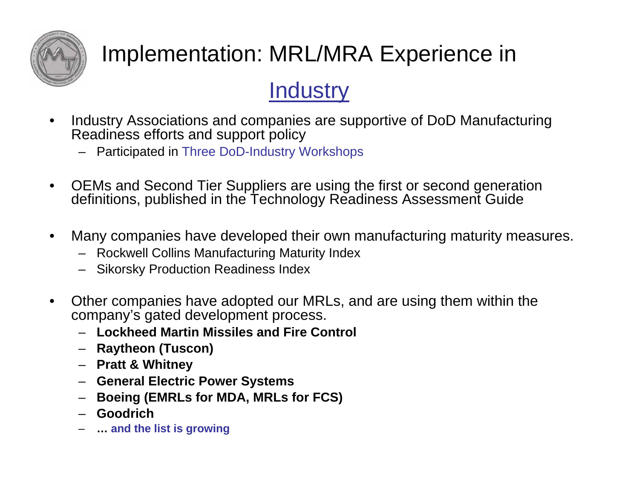

## Implementation: MRL/MRA Experience in

### **Industry**

- • Industry Associations and companies are supportive of DoD Manufacturing Readiness efforts and support policy
	- Participated in Three DoD-Industry Workshops
- • OEMs and Second Tier Suppliers are using the first or second generation definitions, published in the Technology Readiness Assessment Guide
- • Many companies have developed their own manufacturing maturity measures.
	- Rockwell Collins Manufacturing Maturity Index
	- Sikorsky Production Readiness Index
- • Other companies have adopted our MRLs, and are using them within the company's gated development process.
	- **Lockheed Martin Missiles and Fire Control**
	- **Raytheon (Tuscon)**
	- **Pratt & Whitney**
	- **General Electric Power Systems**
	- –**Boeing (EMRLs for MDA, MRLs for FCS)**
	- –**Goodrich**
	- –**… and the list is growing**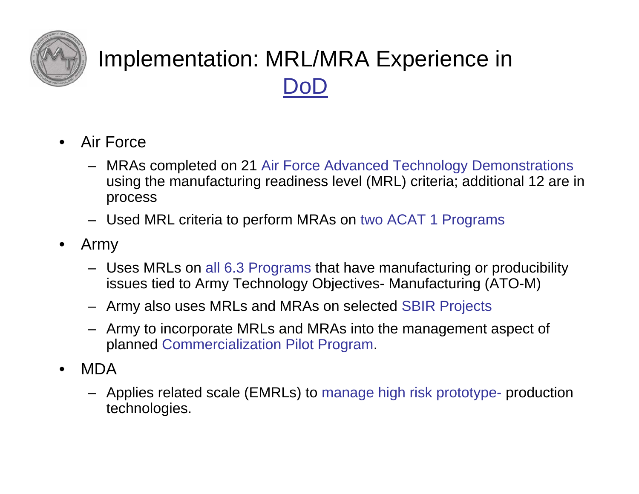

### Implementation: MRL/MRA Experience in DoD

- • Air Force
	- MRAs completed on 21 Air Force Advanced Technology Demonstrations using the manufacturing readiness level (MRL) criteria; additional 12 are in process
	- Used MRL criteria to perform MRAs on two ACAT 1 Programs
- • Army
	- Uses MRLs on all 6.3 Programs that have manufacturing or producibility issues tied to Army Technology Objectives- Manufacturing (ATO-M)
	- Army also uses MRLs and MRAs on selected SBIR Projects
	- Army to incorporate MRLs and MRAs into the management aspect of planned Commercialization Pilot Program.
- • MDA
	- Applies related scale (EMRLs) to manage high risk prototype- production technologies.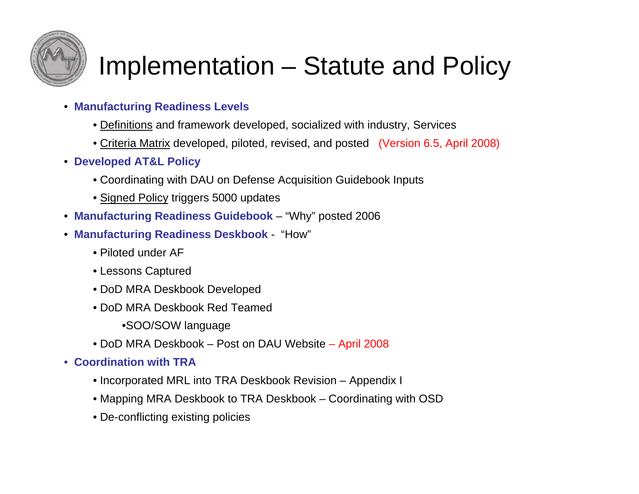

## Implementation – Statute and Policy

- **Manufacturing Readiness Levels**
	- Definitions and framework developed, socialized with industry, Services
	- Criteria Matrix developed, piloted, revised, and posted (Version 6.5, April 2008)
- **Developed AT&L Policy**
	- Coordinating with DAU on Defense Acquisition Guidebook Inputs
	- Signed Policy triggers 5000 updates
- **Manufacturing Readiness Guidebook** "Why" posted 2006
- **Manufacturing Readiness Deskbook** "How"
	- Piloted under AF
	- Lessons Captured
	- DoD MRA Deskbook Developed
	- DoD MRA Deskbook Red Teamed
		- •SOO/SOW language
	- DoD MRA Deskbook Post on DAU Website April 2008
- **Coordination with TRA**
	- Incorporated MRL into TRA Deskbook Revision Appendix I
	- Mapping MRA Deskbook to TRA Deskbook Coordinating with OSD
	- De-conflicting existing policies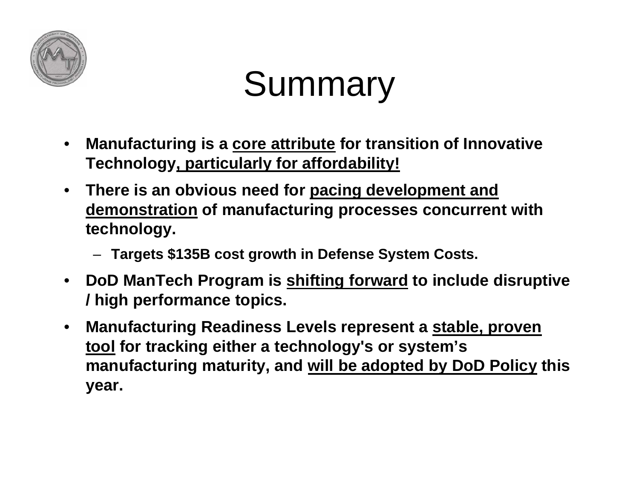

# Summary

- $\bullet$  **Manufacturing is a core attribute for transition of Innovative Technology, particularly for affordability!**
- **There is an obvious need for pacing development and demonstration of manufacturing processes concurrent with technology.**
	- **Targets \$135B cost growth in Defense System Costs.**
- **DoD ManTech Program is shifting forward to include disruptive / high performance topics.**
- $\bullet$  **Manufacturing Readiness Levels represent a stable, proven tool for tracking either a technology's or system's manufacturing maturity, and will be adopted by DoD Policy this year.**